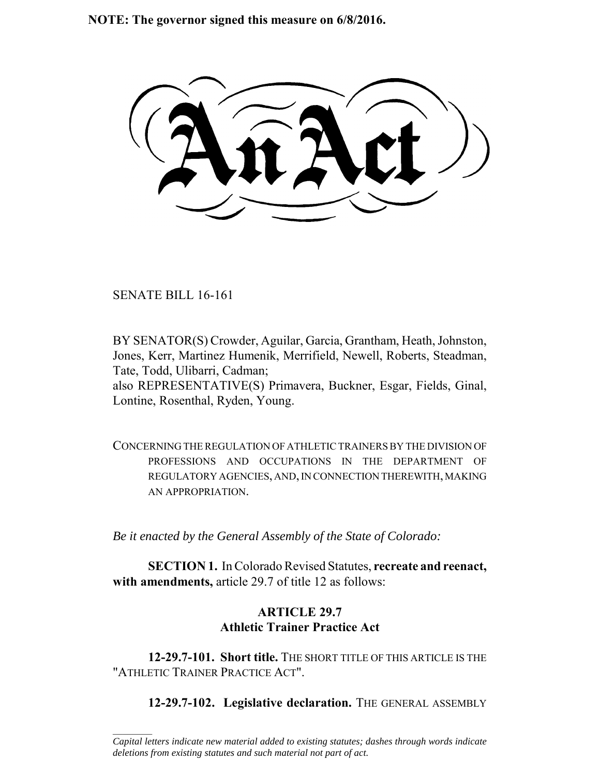**NOTE: The governor signed this measure on 6/8/2016.**

SENATE BILL 16-161

 $\frac{1}{2}$ 

BY SENATOR(S) Crowder, Aguilar, Garcia, Grantham, Heath, Johnston, Jones, Kerr, Martinez Humenik, Merrifield, Newell, Roberts, Steadman, Tate, Todd, Ulibarri, Cadman;

also REPRESENTATIVE(S) Primavera, Buckner, Esgar, Fields, Ginal, Lontine, Rosenthal, Ryden, Young.

CONCERNING THE REGULATION OF ATHLETIC TRAINERS BY THE DIVISION OF PROFESSIONS AND OCCUPATIONS IN THE DEPARTMENT OF REGULATORY AGENCIES, AND, IN CONNECTION THEREWITH, MAKING AN APPROPRIATION.

*Be it enacted by the General Assembly of the State of Colorado:*

**SECTION 1.** In Colorado Revised Statutes, **recreate and reenact, with amendments,** article 29.7 of title 12 as follows:

# **ARTICLE 29.7 Athletic Trainer Practice Act**

**12-29.7-101. Short title.** THE SHORT TITLE OF THIS ARTICLE IS THE "ATHLETIC TRAINER PRACTICE ACT".

**12-29.7-102. Legislative declaration.** THE GENERAL ASSEMBLY

*Capital letters indicate new material added to existing statutes; dashes through words indicate deletions from existing statutes and such material not part of act.*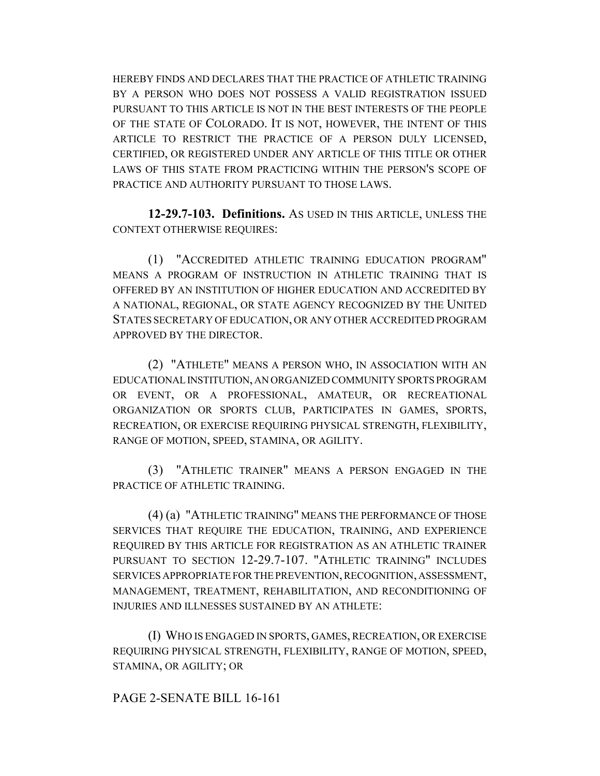HEREBY FINDS AND DECLARES THAT THE PRACTICE OF ATHLETIC TRAINING BY A PERSON WHO DOES NOT POSSESS A VALID REGISTRATION ISSUED PURSUANT TO THIS ARTICLE IS NOT IN THE BEST INTERESTS OF THE PEOPLE OF THE STATE OF COLORADO. IT IS NOT, HOWEVER, THE INTENT OF THIS ARTICLE TO RESTRICT THE PRACTICE OF A PERSON DULY LICENSED, CERTIFIED, OR REGISTERED UNDER ANY ARTICLE OF THIS TITLE OR OTHER LAWS OF THIS STATE FROM PRACTICING WITHIN THE PERSON'S SCOPE OF PRACTICE AND AUTHORITY PURSUANT TO THOSE LAWS.

**12-29.7-103. Definitions.** AS USED IN THIS ARTICLE, UNLESS THE CONTEXT OTHERWISE REQUIRES:

(1) "ACCREDITED ATHLETIC TRAINING EDUCATION PROGRAM" MEANS A PROGRAM OF INSTRUCTION IN ATHLETIC TRAINING THAT IS OFFERED BY AN INSTITUTION OF HIGHER EDUCATION AND ACCREDITED BY A NATIONAL, REGIONAL, OR STATE AGENCY RECOGNIZED BY THE UNITED STATES SECRETARY OF EDUCATION, OR ANY OTHER ACCREDITED PROGRAM APPROVED BY THE DIRECTOR.

(2) "ATHLETE" MEANS A PERSON WHO, IN ASSOCIATION WITH AN EDUCATIONAL INSTITUTION, AN ORGANIZED COMMUNITY SPORTS PROGRAM OR EVENT, OR A PROFESSIONAL, AMATEUR, OR RECREATIONAL ORGANIZATION OR SPORTS CLUB, PARTICIPATES IN GAMES, SPORTS, RECREATION, OR EXERCISE REQUIRING PHYSICAL STRENGTH, FLEXIBILITY, RANGE OF MOTION, SPEED, STAMINA, OR AGILITY.

(3) "ATHLETIC TRAINER" MEANS A PERSON ENGAGED IN THE PRACTICE OF ATHLETIC TRAINING.

(4) (a) "ATHLETIC TRAINING" MEANS THE PERFORMANCE OF THOSE SERVICES THAT REQUIRE THE EDUCATION, TRAINING, AND EXPERIENCE REQUIRED BY THIS ARTICLE FOR REGISTRATION AS AN ATHLETIC TRAINER PURSUANT TO SECTION 12-29.7-107. "ATHLETIC TRAINING" INCLUDES SERVICES APPROPRIATE FOR THE PREVENTION, RECOGNITION, ASSESSMENT, MANAGEMENT, TREATMENT, REHABILITATION, AND RECONDITIONING OF INJURIES AND ILLNESSES SUSTAINED BY AN ATHLETE:

(I) WHO IS ENGAGED IN SPORTS, GAMES, RECREATION, OR EXERCISE REQUIRING PHYSICAL STRENGTH, FLEXIBILITY, RANGE OF MOTION, SPEED, STAMINA, OR AGILITY; OR

#### PAGE 2-SENATE BILL 16-161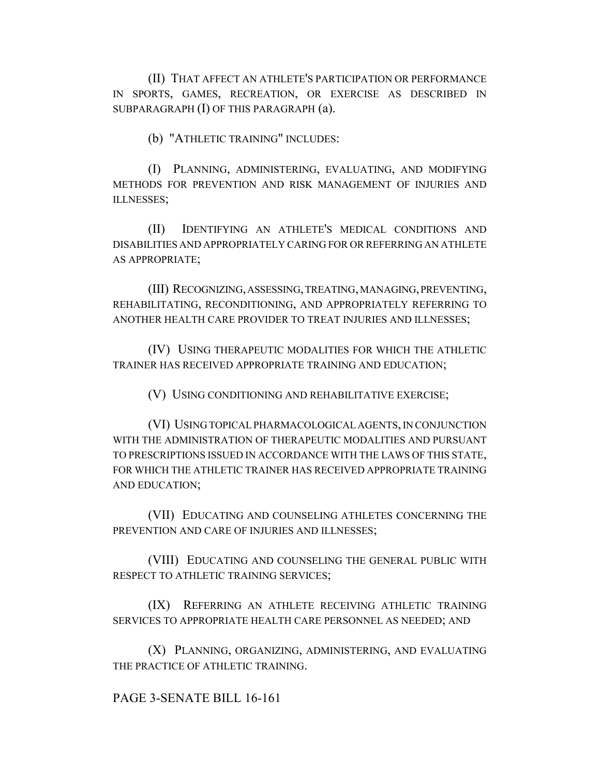(II) THAT AFFECT AN ATHLETE'S PARTICIPATION OR PERFORMANCE IN SPORTS, GAMES, RECREATION, OR EXERCISE AS DESCRIBED IN SUBPARAGRAPH (I) OF THIS PARAGRAPH (a).

(b) "ATHLETIC TRAINING" INCLUDES:

(I) PLANNING, ADMINISTERING, EVALUATING, AND MODIFYING METHODS FOR PREVENTION AND RISK MANAGEMENT OF INJURIES AND ILLNESSES;

(II) IDENTIFYING AN ATHLETE'S MEDICAL CONDITIONS AND DISABILITIES AND APPROPRIATELY CARING FOR OR REFERRING AN ATHLETE AS APPROPRIATE;

(III) RECOGNIZING, ASSESSING, TREATING, MANAGING, PREVENTING, REHABILITATING, RECONDITIONING, AND APPROPRIATELY REFERRING TO ANOTHER HEALTH CARE PROVIDER TO TREAT INJURIES AND ILLNESSES;

(IV) USING THERAPEUTIC MODALITIES FOR WHICH THE ATHLETIC TRAINER HAS RECEIVED APPROPRIATE TRAINING AND EDUCATION;

(V) USING CONDITIONING AND REHABILITATIVE EXERCISE;

(VI) USING TOPICAL PHARMACOLOGICAL AGENTS, IN CONJUNCTION WITH THE ADMINISTRATION OF THERAPEUTIC MODALITIES AND PURSUANT TO PRESCRIPTIONS ISSUED IN ACCORDANCE WITH THE LAWS OF THIS STATE, FOR WHICH THE ATHLETIC TRAINER HAS RECEIVED APPROPRIATE TRAINING AND EDUCATION;

(VII) EDUCATING AND COUNSELING ATHLETES CONCERNING THE PREVENTION AND CARE OF INJURIES AND ILLNESSES;

(VIII) EDUCATING AND COUNSELING THE GENERAL PUBLIC WITH RESPECT TO ATHLETIC TRAINING SERVICES;

(IX) REFERRING AN ATHLETE RECEIVING ATHLETIC TRAINING SERVICES TO APPROPRIATE HEALTH CARE PERSONNEL AS NEEDED; AND

(X) PLANNING, ORGANIZING, ADMINISTERING, AND EVALUATING THE PRACTICE OF ATHLETIC TRAINING.

PAGE 3-SENATE BILL 16-161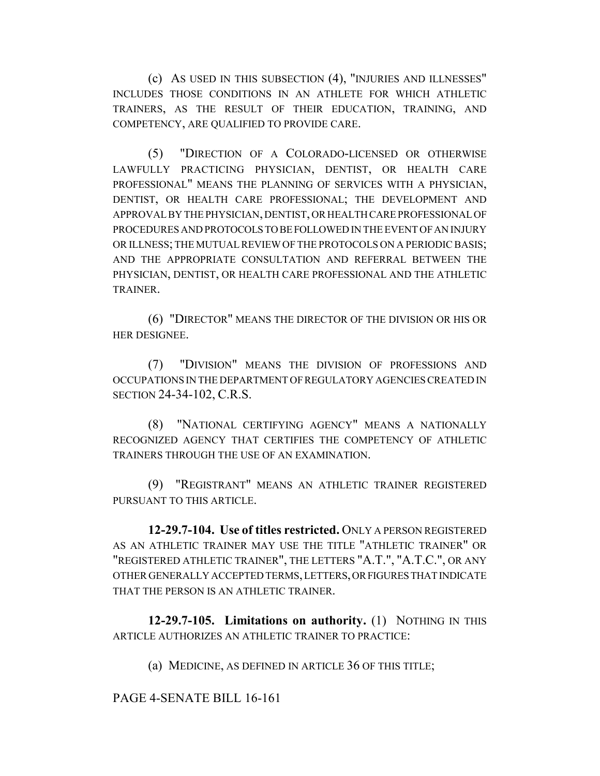(c) AS USED IN THIS SUBSECTION (4), "INJURIES AND ILLNESSES" INCLUDES THOSE CONDITIONS IN AN ATHLETE FOR WHICH ATHLETIC TRAINERS, AS THE RESULT OF THEIR EDUCATION, TRAINING, AND COMPETENCY, ARE QUALIFIED TO PROVIDE CARE.

(5) "DIRECTION OF A COLORADO-LICENSED OR OTHERWISE LAWFULLY PRACTICING PHYSICIAN, DENTIST, OR HEALTH CARE PROFESSIONAL" MEANS THE PLANNING OF SERVICES WITH A PHYSICIAN, DENTIST, OR HEALTH CARE PROFESSIONAL; THE DEVELOPMENT AND APPROVAL BY THE PHYSICIAN, DENTIST, OR HEALTH CARE PROFESSIONAL OF PROCEDURES AND PROTOCOLS TO BE FOLLOWED IN THE EVENT OF AN INJURY OR ILLNESS; THE MUTUAL REVIEW OF THE PROTOCOLS ON A PERIODIC BASIS; AND THE APPROPRIATE CONSULTATION AND REFERRAL BETWEEN THE PHYSICIAN, DENTIST, OR HEALTH CARE PROFESSIONAL AND THE ATHLETIC TRAINER.

(6) "DIRECTOR" MEANS THE DIRECTOR OF THE DIVISION OR HIS OR HER DESIGNEE.

(7) "DIVISION" MEANS THE DIVISION OF PROFESSIONS AND OCCUPATIONS IN THE DEPARTMENT OF REGULATORY AGENCIES CREATED IN SECTION 24-34-102, C.R.S.

(8) "NATIONAL CERTIFYING AGENCY" MEANS A NATIONALLY RECOGNIZED AGENCY THAT CERTIFIES THE COMPETENCY OF ATHLETIC TRAINERS THROUGH THE USE OF AN EXAMINATION.

(9) "REGISTRANT" MEANS AN ATHLETIC TRAINER REGISTERED PURSUANT TO THIS ARTICLE.

**12-29.7-104. Use of titles restricted.** ONLY A PERSON REGISTERED AS AN ATHLETIC TRAINER MAY USE THE TITLE "ATHLETIC TRAINER" OR "REGISTERED ATHLETIC TRAINER", THE LETTERS "A.T.", "A.T.C.", OR ANY OTHER GENERALLY ACCEPTED TERMS, LETTERS, OR FIGURES THAT INDICATE THAT THE PERSON IS AN ATHLETIC TRAINER.

**12-29.7-105. Limitations on authority.** (1) NOTHING IN THIS ARTICLE AUTHORIZES AN ATHLETIC TRAINER TO PRACTICE:

(a) MEDICINE, AS DEFINED IN ARTICLE 36 OF THIS TITLE;

PAGE 4-SENATE BILL 16-161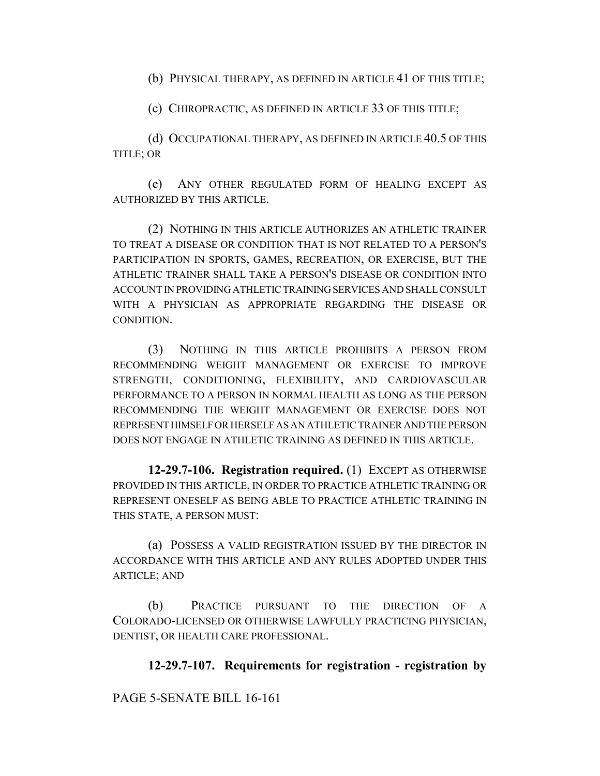(b) PHYSICAL THERAPY, AS DEFINED IN ARTICLE 41 OF THIS TITLE;

(c) CHIROPRACTIC, AS DEFINED IN ARTICLE 33 OF THIS TITLE;

(d) OCCUPATIONAL THERAPY, AS DEFINED IN ARTICLE 40.5 OF THIS TITLE; OR

(e) ANY OTHER REGULATED FORM OF HEALING EXCEPT AS AUTHORIZED BY THIS ARTICLE.

(2) NOTHING IN THIS ARTICLE AUTHORIZES AN ATHLETIC TRAINER TO TREAT A DISEASE OR CONDITION THAT IS NOT RELATED TO A PERSON'S PARTICIPATION IN SPORTS, GAMES, RECREATION, OR EXERCISE, BUT THE ATHLETIC TRAINER SHALL TAKE A PERSON'S DISEASE OR CONDITION INTO ACCOUNT IN PROVIDING ATHLETIC TRAINING SERVICES AND SHALL CONSULT WITH A PHYSICIAN AS APPROPRIATE REGARDING THE DISEASE OR CONDITION.

(3) NOTHING IN THIS ARTICLE PROHIBITS A PERSON FROM RECOMMENDING WEIGHT MANAGEMENT OR EXERCISE TO IMPROVE STRENGTH, CONDITIONING, FLEXIBILITY, AND CARDIOVASCULAR PERFORMANCE TO A PERSON IN NORMAL HEALTH AS LONG AS THE PERSON RECOMMENDING THE WEIGHT MANAGEMENT OR EXERCISE DOES NOT REPRESENT HIMSELF OR HERSELF AS AN ATHLETIC TRAINER AND THE PERSON DOES NOT ENGAGE IN ATHLETIC TRAINING AS DEFINED IN THIS ARTICLE.

**12-29.7-106. Registration required.** (1) EXCEPT AS OTHERWISE PROVIDED IN THIS ARTICLE, IN ORDER TO PRACTICE ATHLETIC TRAINING OR REPRESENT ONESELF AS BEING ABLE TO PRACTICE ATHLETIC TRAINING IN THIS STATE, A PERSON MUST:

(a) POSSESS A VALID REGISTRATION ISSUED BY THE DIRECTOR IN ACCORDANCE WITH THIS ARTICLE AND ANY RULES ADOPTED UNDER THIS ARTICLE; AND

(b) PRACTICE PURSUANT TO THE DIRECTION OF A COLORADO-LICENSED OR OTHERWISE LAWFULLY PRACTICING PHYSICIAN, DENTIST, OR HEALTH CARE PROFESSIONAL.

# **12-29.7-107. Requirements for registration - registration by**

PAGE 5-SENATE BILL 16-161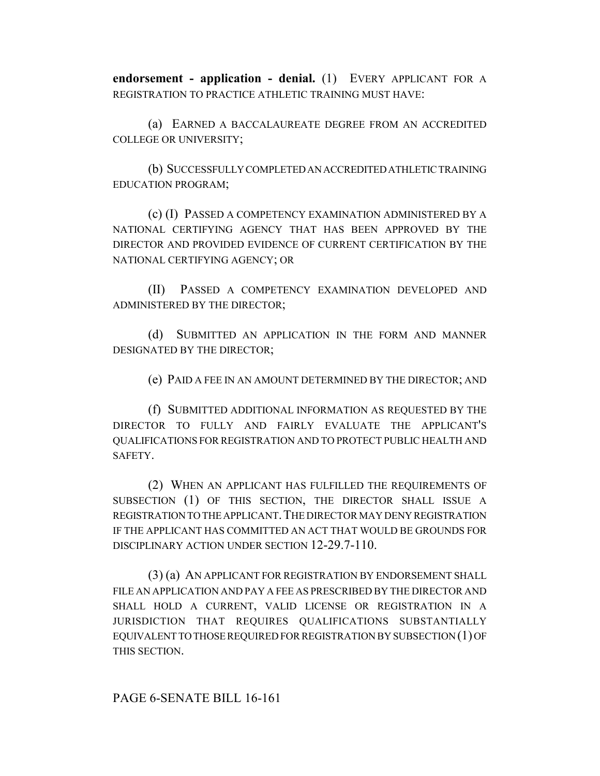**endorsement - application - denial.** (1) EVERY APPLICANT FOR A REGISTRATION TO PRACTICE ATHLETIC TRAINING MUST HAVE:

(a) EARNED A BACCALAUREATE DEGREE FROM AN ACCREDITED COLLEGE OR UNIVERSITY;

(b) SUCCESSFULLY COMPLETED AN ACCREDITED ATHLETIC TRAINING EDUCATION PROGRAM;

(c) (I) PASSED A COMPETENCY EXAMINATION ADMINISTERED BY A NATIONAL CERTIFYING AGENCY THAT HAS BEEN APPROVED BY THE DIRECTOR AND PROVIDED EVIDENCE OF CURRENT CERTIFICATION BY THE NATIONAL CERTIFYING AGENCY; OR

(II) PASSED A COMPETENCY EXAMINATION DEVELOPED AND ADMINISTERED BY THE DIRECTOR;

(d) SUBMITTED AN APPLICATION IN THE FORM AND MANNER DESIGNATED BY THE DIRECTOR;

(e) PAID A FEE IN AN AMOUNT DETERMINED BY THE DIRECTOR; AND

(f) SUBMITTED ADDITIONAL INFORMATION AS REQUESTED BY THE DIRECTOR TO FULLY AND FAIRLY EVALUATE THE APPLICANT'S QUALIFICATIONS FOR REGISTRATION AND TO PROTECT PUBLIC HEALTH AND SAFETY.

(2) WHEN AN APPLICANT HAS FULFILLED THE REQUIREMENTS OF SUBSECTION (1) OF THIS SECTION, THE DIRECTOR SHALL ISSUE A REGISTRATION TO THE APPLICANT. THE DIRECTOR MAY DENY REGISTRATION IF THE APPLICANT HAS COMMITTED AN ACT THAT WOULD BE GROUNDS FOR DISCIPLINARY ACTION UNDER SECTION 12-29.7-110.

(3) (a) AN APPLICANT FOR REGISTRATION BY ENDORSEMENT SHALL FILE AN APPLICATION AND PAY A FEE AS PRESCRIBED BY THE DIRECTOR AND SHALL HOLD A CURRENT, VALID LICENSE OR REGISTRATION IN A JURISDICTION THAT REQUIRES QUALIFICATIONS SUBSTANTIALLY EQUIVALENT TO THOSE REQUIRED FOR REGISTRATION BY SUBSECTION (1) OF THIS SECTION.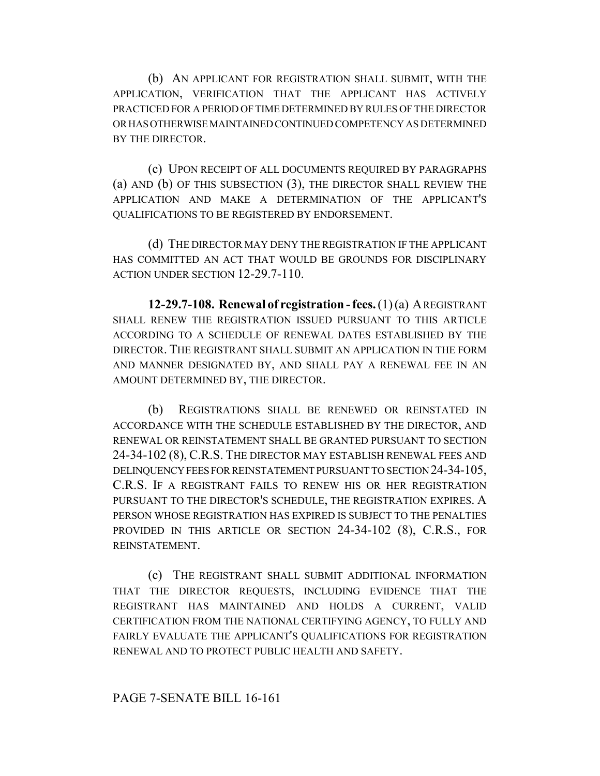(b) AN APPLICANT FOR REGISTRATION SHALL SUBMIT, WITH THE APPLICATION, VERIFICATION THAT THE APPLICANT HAS ACTIVELY PRACTICED FOR A PERIOD OF TIME DETERMINED BY RULES OF THE DIRECTOR OR HAS OTHERWISE MAINTAINED CONTINUED COMPETENCY AS DETERMINED BY THE DIRECTOR.

(c) UPON RECEIPT OF ALL DOCUMENTS REQUIRED BY PARAGRAPHS (a) AND (b) OF THIS SUBSECTION (3), THE DIRECTOR SHALL REVIEW THE APPLICATION AND MAKE A DETERMINATION OF THE APPLICANT'S QUALIFICATIONS TO BE REGISTERED BY ENDORSEMENT.

(d) THE DIRECTOR MAY DENY THE REGISTRATION IF THE APPLICANT HAS COMMITTED AN ACT THAT WOULD BE GROUNDS FOR DISCIPLINARY ACTION UNDER SECTION 12-29.7-110.

**12-29.7-108. Renewal of registration - fees.** (1) (a) A REGISTRANT SHALL RENEW THE REGISTRATION ISSUED PURSUANT TO THIS ARTICLE ACCORDING TO A SCHEDULE OF RENEWAL DATES ESTABLISHED BY THE DIRECTOR. THE REGISTRANT SHALL SUBMIT AN APPLICATION IN THE FORM AND MANNER DESIGNATED BY, AND SHALL PAY A RENEWAL FEE IN AN AMOUNT DETERMINED BY, THE DIRECTOR.

(b) REGISTRATIONS SHALL BE RENEWED OR REINSTATED IN ACCORDANCE WITH THE SCHEDULE ESTABLISHED BY THE DIRECTOR, AND RENEWAL OR REINSTATEMENT SHALL BE GRANTED PURSUANT TO SECTION 24-34-102 (8), C.R.S. THE DIRECTOR MAY ESTABLISH RENEWAL FEES AND DELINQUENCY FEES FOR REINSTATEMENT PURSUANT TO SECTION 24-34-105, C.R.S. IF A REGISTRANT FAILS TO RENEW HIS OR HER REGISTRATION PURSUANT TO THE DIRECTOR'S SCHEDULE, THE REGISTRATION EXPIRES. A PERSON WHOSE REGISTRATION HAS EXPIRED IS SUBJECT TO THE PENALTIES PROVIDED IN THIS ARTICLE OR SECTION 24-34-102 (8), C.R.S., FOR REINSTATEMENT.

(c) THE REGISTRANT SHALL SUBMIT ADDITIONAL INFORMATION THAT THE DIRECTOR REQUESTS, INCLUDING EVIDENCE THAT THE REGISTRANT HAS MAINTAINED AND HOLDS A CURRENT, VALID CERTIFICATION FROM THE NATIONAL CERTIFYING AGENCY, TO FULLY AND FAIRLY EVALUATE THE APPLICANT'S QUALIFICATIONS FOR REGISTRATION RENEWAL AND TO PROTECT PUBLIC HEALTH AND SAFETY.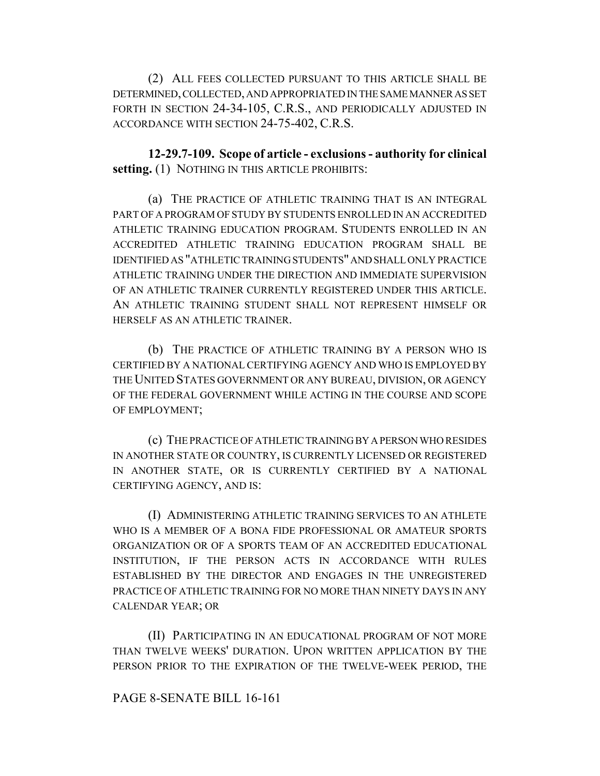(2) ALL FEES COLLECTED PURSUANT TO THIS ARTICLE SHALL BE DETERMINED, COLLECTED, AND APPROPRIATED IN THE SAME MANNER AS SET FORTH IN SECTION 24-34-105, C.R.S., AND PERIODICALLY ADJUSTED IN ACCORDANCE WITH SECTION 24-75-402, C.R.S.

**12-29.7-109. Scope of article - exclusions - authority for clinical setting.** (1) NOTHING IN THIS ARTICLE PROHIBITS:

(a) THE PRACTICE OF ATHLETIC TRAINING THAT IS AN INTEGRAL PART OF A PROGRAM OF STUDY BY STUDENTS ENROLLED IN AN ACCREDITED ATHLETIC TRAINING EDUCATION PROGRAM. STUDENTS ENROLLED IN AN ACCREDITED ATHLETIC TRAINING EDUCATION PROGRAM SHALL BE IDENTIFIED AS "ATHLETIC TRAINING STUDENTS" AND SHALL ONLY PRACTICE ATHLETIC TRAINING UNDER THE DIRECTION AND IMMEDIATE SUPERVISION OF AN ATHLETIC TRAINER CURRENTLY REGISTERED UNDER THIS ARTICLE. AN ATHLETIC TRAINING STUDENT SHALL NOT REPRESENT HIMSELF OR HERSELF AS AN ATHLETIC TRAINER.

(b) THE PRACTICE OF ATHLETIC TRAINING BY A PERSON WHO IS CERTIFIED BY A NATIONAL CERTIFYING AGENCY AND WHO IS EMPLOYED BY THE UNITED STATES GOVERNMENT OR ANY BUREAU, DIVISION, OR AGENCY OF THE FEDERAL GOVERNMENT WHILE ACTING IN THE COURSE AND SCOPE OF EMPLOYMENT;

(c) THE PRACTICE OF ATHLETIC TRAINING BY A PERSON WHO RESIDES IN ANOTHER STATE OR COUNTRY, IS CURRENTLY LICENSED OR REGISTERED IN ANOTHER STATE, OR IS CURRENTLY CERTIFIED BY A NATIONAL CERTIFYING AGENCY, AND IS:

(I) ADMINISTERING ATHLETIC TRAINING SERVICES TO AN ATHLETE WHO IS A MEMBER OF A BONA FIDE PROFESSIONAL OR AMATEUR SPORTS ORGANIZATION OR OF A SPORTS TEAM OF AN ACCREDITED EDUCATIONAL INSTITUTION, IF THE PERSON ACTS IN ACCORDANCE WITH RULES ESTABLISHED BY THE DIRECTOR AND ENGAGES IN THE UNREGISTERED PRACTICE OF ATHLETIC TRAINING FOR NO MORE THAN NINETY DAYS IN ANY CALENDAR YEAR; OR

(II) PARTICIPATING IN AN EDUCATIONAL PROGRAM OF NOT MORE THAN TWELVE WEEKS' DURATION. UPON WRITTEN APPLICATION BY THE PERSON PRIOR TO THE EXPIRATION OF THE TWELVE-WEEK PERIOD, THE

#### PAGE 8-SENATE BILL 16-161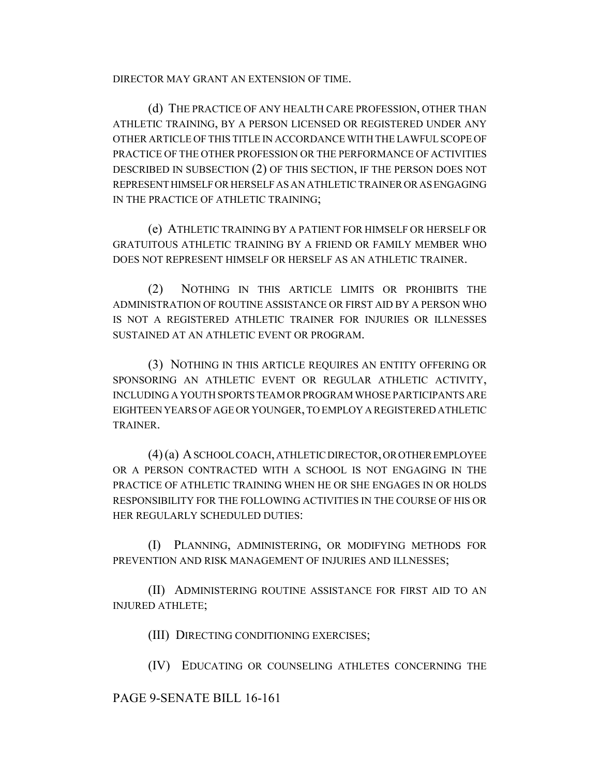DIRECTOR MAY GRANT AN EXTENSION OF TIME.

(d) THE PRACTICE OF ANY HEALTH CARE PROFESSION, OTHER THAN ATHLETIC TRAINING, BY A PERSON LICENSED OR REGISTERED UNDER ANY OTHER ARTICLE OF THIS TITLE IN ACCORDANCE WITH THE LAWFUL SCOPE OF PRACTICE OF THE OTHER PROFESSION OR THE PERFORMANCE OF ACTIVITIES DESCRIBED IN SUBSECTION (2) OF THIS SECTION, IF THE PERSON DOES NOT REPRESENT HIMSELF OR HERSELF AS AN ATHLETIC TRAINER OR AS ENGAGING IN THE PRACTICE OF ATHLETIC TRAINING;

(e) ATHLETIC TRAINING BY A PATIENT FOR HIMSELF OR HERSELF OR GRATUITOUS ATHLETIC TRAINING BY A FRIEND OR FAMILY MEMBER WHO DOES NOT REPRESENT HIMSELF OR HERSELF AS AN ATHLETIC TRAINER.

(2) NOTHING IN THIS ARTICLE LIMITS OR PROHIBITS THE ADMINISTRATION OF ROUTINE ASSISTANCE OR FIRST AID BY A PERSON WHO IS NOT A REGISTERED ATHLETIC TRAINER FOR INJURIES OR ILLNESSES SUSTAINED AT AN ATHLETIC EVENT OR PROGRAM.

(3) NOTHING IN THIS ARTICLE REQUIRES AN ENTITY OFFERING OR SPONSORING AN ATHLETIC EVENT OR REGULAR ATHLETIC ACTIVITY, INCLUDING A YOUTH SPORTS TEAM OR PROGRAM WHOSE PARTICIPANTS ARE EIGHTEEN YEARS OF AGE OR YOUNGER, TO EMPLOY A REGISTERED ATHLETIC TRAINER.

(4) (a) A SCHOOL COACH, ATHLETIC DIRECTOR, OR OTHER EMPLOYEE OR A PERSON CONTRACTED WITH A SCHOOL IS NOT ENGAGING IN THE PRACTICE OF ATHLETIC TRAINING WHEN HE OR SHE ENGAGES IN OR HOLDS RESPONSIBILITY FOR THE FOLLOWING ACTIVITIES IN THE COURSE OF HIS OR HER REGULARLY SCHEDULED DUTIES:

(I) PLANNING, ADMINISTERING, OR MODIFYING METHODS FOR PREVENTION AND RISK MANAGEMENT OF INJURIES AND ILLNESSES;

(II) ADMINISTERING ROUTINE ASSISTANCE FOR FIRST AID TO AN INJURED ATHLETE;

(III) DIRECTING CONDITIONING EXERCISES;

(IV) EDUCATING OR COUNSELING ATHLETES CONCERNING THE

# PAGE 9-SENATE BILL 16-161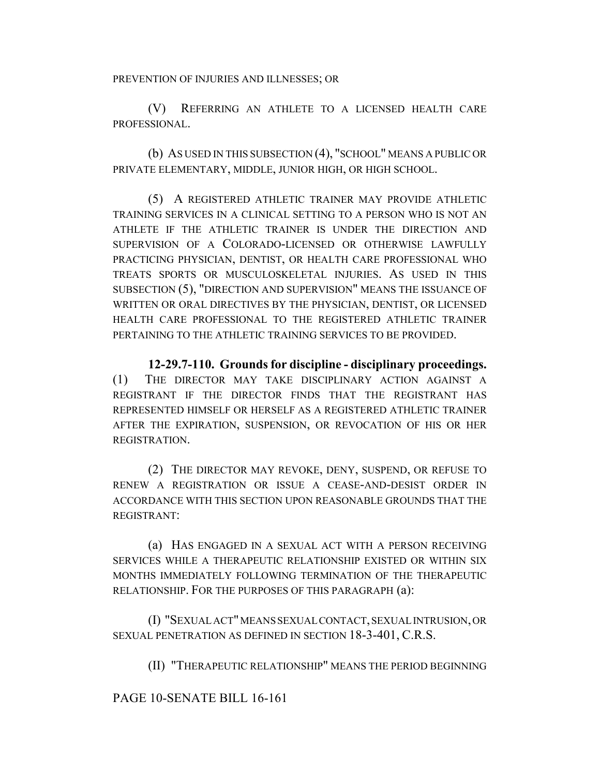PREVENTION OF INJURIES AND ILLNESSES; OR

(V) REFERRING AN ATHLETE TO A LICENSED HEALTH CARE PROFESSIONAL.

(b) AS USED IN THIS SUBSECTION (4), "SCHOOL" MEANS A PUBLIC OR PRIVATE ELEMENTARY, MIDDLE, JUNIOR HIGH, OR HIGH SCHOOL.

(5) A REGISTERED ATHLETIC TRAINER MAY PROVIDE ATHLETIC TRAINING SERVICES IN A CLINICAL SETTING TO A PERSON WHO IS NOT AN ATHLETE IF THE ATHLETIC TRAINER IS UNDER THE DIRECTION AND SUPERVISION OF A COLORADO-LICENSED OR OTHERWISE LAWFULLY PRACTICING PHYSICIAN, DENTIST, OR HEALTH CARE PROFESSIONAL WHO TREATS SPORTS OR MUSCULOSKELETAL INJURIES. AS USED IN THIS SUBSECTION (5), "DIRECTION AND SUPERVISION" MEANS THE ISSUANCE OF WRITTEN OR ORAL DIRECTIVES BY THE PHYSICIAN, DENTIST, OR LICENSED HEALTH CARE PROFESSIONAL TO THE REGISTERED ATHLETIC TRAINER PERTAINING TO THE ATHLETIC TRAINING SERVICES TO BE PROVIDED.

**12-29.7-110. Grounds for discipline - disciplinary proceedings.** (1) THE DIRECTOR MAY TAKE DISCIPLINARY ACTION AGAINST A REGISTRANT IF THE DIRECTOR FINDS THAT THE REGISTRANT HAS REPRESENTED HIMSELF OR HERSELF AS A REGISTERED ATHLETIC TRAINER AFTER THE EXPIRATION, SUSPENSION, OR REVOCATION OF HIS OR HER REGISTRATION.

(2) THE DIRECTOR MAY REVOKE, DENY, SUSPEND, OR REFUSE TO RENEW A REGISTRATION OR ISSUE A CEASE-AND-DESIST ORDER IN ACCORDANCE WITH THIS SECTION UPON REASONABLE GROUNDS THAT THE REGISTRANT:

(a) HAS ENGAGED IN A SEXUAL ACT WITH A PERSON RECEIVING SERVICES WHILE A THERAPEUTIC RELATIONSHIP EXISTED OR WITHIN SIX MONTHS IMMEDIATELY FOLLOWING TERMINATION OF THE THERAPEUTIC RELATIONSHIP. FOR THE PURPOSES OF THIS PARAGRAPH (a):

(I) "SEXUAL ACT" MEANS SEXUAL CONTACT, SEXUAL INTRUSION, OR SEXUAL PENETRATION AS DEFINED IN SECTION 18-3-401, C.R.S.

(II) "THERAPEUTIC RELATIONSHIP" MEANS THE PERIOD BEGINNING

PAGE 10-SENATE BILL 16-161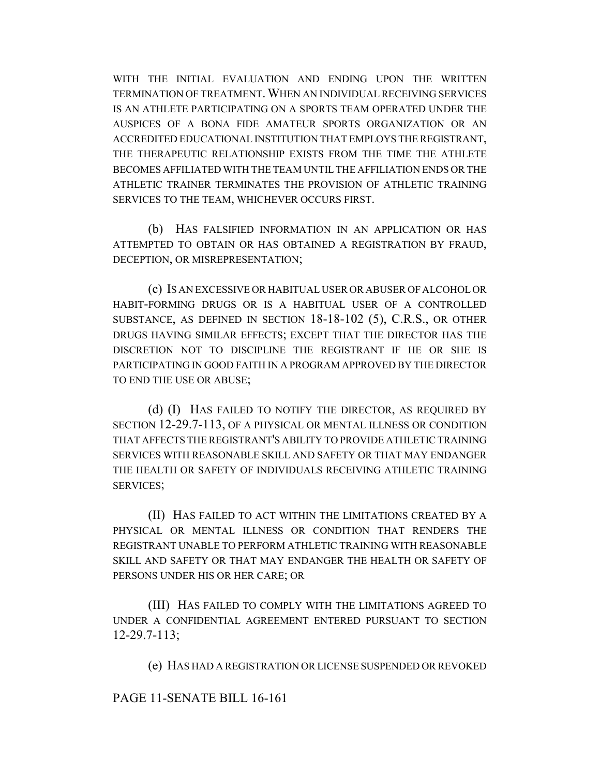WITH THE INITIAL EVALUATION AND ENDING UPON THE WRITTEN TERMINATION OF TREATMENT.WHEN AN INDIVIDUAL RECEIVING SERVICES IS AN ATHLETE PARTICIPATING ON A SPORTS TEAM OPERATED UNDER THE AUSPICES OF A BONA FIDE AMATEUR SPORTS ORGANIZATION OR AN ACCREDITED EDUCATIONAL INSTITUTION THAT EMPLOYS THE REGISTRANT, THE THERAPEUTIC RELATIONSHIP EXISTS FROM THE TIME THE ATHLETE BECOMES AFFILIATED WITH THE TEAM UNTIL THE AFFILIATION ENDS OR THE ATHLETIC TRAINER TERMINATES THE PROVISION OF ATHLETIC TRAINING SERVICES TO THE TEAM, WHICHEVER OCCURS FIRST.

(b) HAS FALSIFIED INFORMATION IN AN APPLICATION OR HAS ATTEMPTED TO OBTAIN OR HAS OBTAINED A REGISTRATION BY FRAUD, DECEPTION, OR MISREPRESENTATION;

(c) IS AN EXCESSIVE OR HABITUAL USER OR ABUSER OF ALCOHOL OR HABIT-FORMING DRUGS OR IS A HABITUAL USER OF A CONTROLLED SUBSTANCE, AS DEFINED IN SECTION 18-18-102 (5), C.R.S., OR OTHER DRUGS HAVING SIMILAR EFFECTS; EXCEPT THAT THE DIRECTOR HAS THE DISCRETION NOT TO DISCIPLINE THE REGISTRANT IF HE OR SHE IS PARTICIPATING IN GOOD FAITH IN A PROGRAM APPROVED BY THE DIRECTOR TO END THE USE OR ABUSE;

(d) (I) HAS FAILED TO NOTIFY THE DIRECTOR, AS REQUIRED BY SECTION 12-29.7-113, OF A PHYSICAL OR MENTAL ILLNESS OR CONDITION THAT AFFECTS THE REGISTRANT'S ABILITY TO PROVIDE ATHLETIC TRAINING SERVICES WITH REASONABLE SKILL AND SAFETY OR THAT MAY ENDANGER THE HEALTH OR SAFETY OF INDIVIDUALS RECEIVING ATHLETIC TRAINING SERVICES;

(II) HAS FAILED TO ACT WITHIN THE LIMITATIONS CREATED BY A PHYSICAL OR MENTAL ILLNESS OR CONDITION THAT RENDERS THE REGISTRANT UNABLE TO PERFORM ATHLETIC TRAINING WITH REASONABLE SKILL AND SAFETY OR THAT MAY ENDANGER THE HEALTH OR SAFETY OF PERSONS UNDER HIS OR HER CARE; OR

(III) HAS FAILED TO COMPLY WITH THE LIMITATIONS AGREED TO UNDER A CONFIDENTIAL AGREEMENT ENTERED PURSUANT TO SECTION 12-29.7-113;

(e) HAS HAD A REGISTRATION OR LICENSE SUSPENDED OR REVOKED

PAGE 11-SENATE BILL 16-161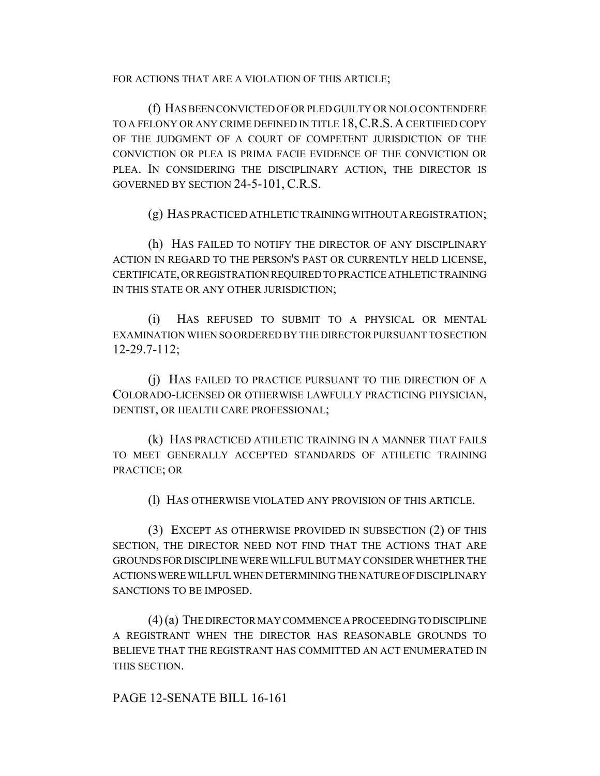FOR ACTIONS THAT ARE A VIOLATION OF THIS ARTICLE;

(f) HAS BEEN CONVICTED OF OR PLED GUILTY OR NOLO CONTENDERE TO A FELONY OR ANY CRIME DEFINED IN TITLE 18,C.R.S.A CERTIFIED COPY OF THE JUDGMENT OF A COURT OF COMPETENT JURISDICTION OF THE CONVICTION OR PLEA IS PRIMA FACIE EVIDENCE OF THE CONVICTION OR PLEA. IN CONSIDERING THE DISCIPLINARY ACTION, THE DIRECTOR IS GOVERNED BY SECTION 24-5-101, C.R.S.

(g) HAS PRACTICED ATHLETIC TRAINING WITHOUT A REGISTRATION;

(h) HAS FAILED TO NOTIFY THE DIRECTOR OF ANY DISCIPLINARY ACTION IN REGARD TO THE PERSON'S PAST OR CURRENTLY HELD LICENSE, CERTIFICATE, OR REGISTRATION REQUIRED TO PRACTICE ATHLETIC TRAINING IN THIS STATE OR ANY OTHER JURISDICTION;

(i) HAS REFUSED TO SUBMIT TO A PHYSICAL OR MENTAL EXAMINATION WHEN SO ORDERED BY THE DIRECTOR PURSUANT TO SECTION 12-29.7-112;

(j) HAS FAILED TO PRACTICE PURSUANT TO THE DIRECTION OF A COLORADO-LICENSED OR OTHERWISE LAWFULLY PRACTICING PHYSICIAN, DENTIST, OR HEALTH CARE PROFESSIONAL;

(k) HAS PRACTICED ATHLETIC TRAINING IN A MANNER THAT FAILS TO MEET GENERALLY ACCEPTED STANDARDS OF ATHLETIC TRAINING PRACTICE; OR

(l) HAS OTHERWISE VIOLATED ANY PROVISION OF THIS ARTICLE.

(3) EXCEPT AS OTHERWISE PROVIDED IN SUBSECTION (2) OF THIS SECTION, THE DIRECTOR NEED NOT FIND THAT THE ACTIONS THAT ARE GROUNDS FOR DISCIPLINE WERE WILLFUL BUT MAY CONSIDER WHETHER THE ACTIONS WERE WILLFUL WHEN DETERMINING THE NATURE OF DISCIPLINARY SANCTIONS TO BE IMPOSED.

(4) (a) THE DIRECTOR MAY COMMENCE A PROCEEDING TO DISCIPLINE A REGISTRANT WHEN THE DIRECTOR HAS REASONABLE GROUNDS TO BELIEVE THAT THE REGISTRANT HAS COMMITTED AN ACT ENUMERATED IN THIS SECTION.

PAGE 12-SENATE BILL 16-161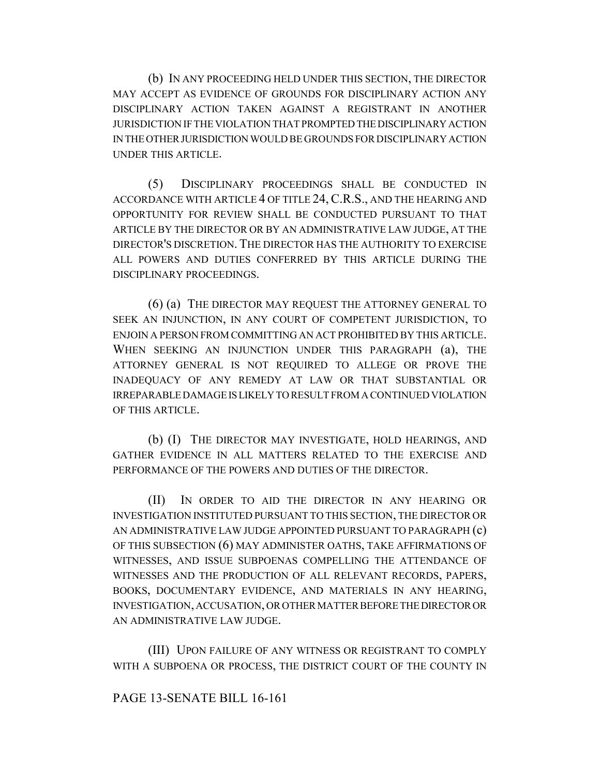(b) IN ANY PROCEEDING HELD UNDER THIS SECTION, THE DIRECTOR MAY ACCEPT AS EVIDENCE OF GROUNDS FOR DISCIPLINARY ACTION ANY DISCIPLINARY ACTION TAKEN AGAINST A REGISTRANT IN ANOTHER JURISDICTION IF THE VIOLATION THAT PROMPTED THE DISCIPLINARY ACTION IN THE OTHER JURISDICTION WOULD BE GROUNDS FOR DISCIPLINARY ACTION UNDER THIS ARTICLE.

(5) DISCIPLINARY PROCEEDINGS SHALL BE CONDUCTED IN ACCORDANCE WITH ARTICLE 4 OF TITLE 24,C.R.S., AND THE HEARING AND OPPORTUNITY FOR REVIEW SHALL BE CONDUCTED PURSUANT TO THAT ARTICLE BY THE DIRECTOR OR BY AN ADMINISTRATIVE LAW JUDGE, AT THE DIRECTOR'S DISCRETION. THE DIRECTOR HAS THE AUTHORITY TO EXERCISE ALL POWERS AND DUTIES CONFERRED BY THIS ARTICLE DURING THE DISCIPLINARY PROCEEDINGS.

(6) (a) THE DIRECTOR MAY REQUEST THE ATTORNEY GENERAL TO SEEK AN INJUNCTION, IN ANY COURT OF COMPETENT JURISDICTION, TO ENJOIN A PERSON FROM COMMITTING AN ACT PROHIBITED BY THIS ARTICLE. WHEN SEEKING AN INJUNCTION UNDER THIS PARAGRAPH (a), THE ATTORNEY GENERAL IS NOT REQUIRED TO ALLEGE OR PROVE THE INADEQUACY OF ANY REMEDY AT LAW OR THAT SUBSTANTIAL OR IRREPARABLE DAMAGE IS LIKELY TO RESULT FROM A CONTINUED VIOLATION OF THIS ARTICLE.

(b) (I) THE DIRECTOR MAY INVESTIGATE, HOLD HEARINGS, AND GATHER EVIDENCE IN ALL MATTERS RELATED TO THE EXERCISE AND PERFORMANCE OF THE POWERS AND DUTIES OF THE DIRECTOR.

(II) IN ORDER TO AID THE DIRECTOR IN ANY HEARING OR INVESTIGATION INSTITUTED PURSUANT TO THIS SECTION, THE DIRECTOR OR AN ADMINISTRATIVE LAW JUDGE APPOINTED PURSUANT TO PARAGRAPH (c) OF THIS SUBSECTION (6) MAY ADMINISTER OATHS, TAKE AFFIRMATIONS OF WITNESSES, AND ISSUE SUBPOENAS COMPELLING THE ATTENDANCE OF WITNESSES AND THE PRODUCTION OF ALL RELEVANT RECORDS, PAPERS, BOOKS, DOCUMENTARY EVIDENCE, AND MATERIALS IN ANY HEARING, INVESTIGATION, ACCUSATION, OR OTHER MATTER BEFORE THE DIRECTOR OR AN ADMINISTRATIVE LAW JUDGE.

(III) UPON FAILURE OF ANY WITNESS OR REGISTRANT TO COMPLY WITH A SUBPOENA OR PROCESS, THE DISTRICT COURT OF THE COUNTY IN

# PAGE 13-SENATE BILL 16-161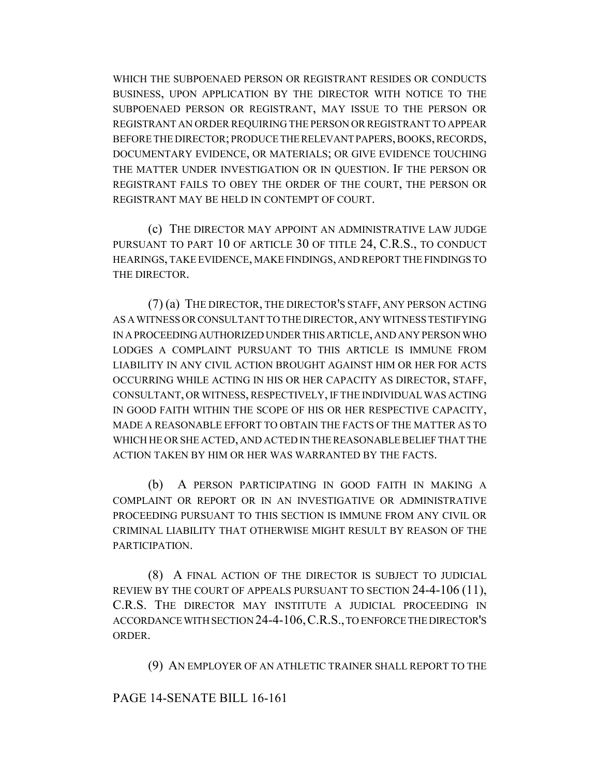WHICH THE SUBPOENAED PERSON OR REGISTRANT RESIDES OR CONDUCTS BUSINESS, UPON APPLICATION BY THE DIRECTOR WITH NOTICE TO THE SUBPOENAED PERSON OR REGISTRANT, MAY ISSUE TO THE PERSON OR REGISTRANT AN ORDER REQUIRING THE PERSON OR REGISTRANT TO APPEAR BEFORE THE DIRECTOR; PRODUCE THE RELEVANT PAPERS, BOOKS, RECORDS, DOCUMENTARY EVIDENCE, OR MATERIALS; OR GIVE EVIDENCE TOUCHING THE MATTER UNDER INVESTIGATION OR IN QUESTION. IF THE PERSON OR REGISTRANT FAILS TO OBEY THE ORDER OF THE COURT, THE PERSON OR REGISTRANT MAY BE HELD IN CONTEMPT OF COURT.

(c) THE DIRECTOR MAY APPOINT AN ADMINISTRATIVE LAW JUDGE PURSUANT TO PART 10 OF ARTICLE 30 OF TITLE 24, C.R.S., TO CONDUCT HEARINGS, TAKE EVIDENCE, MAKE FINDINGS, AND REPORT THE FINDINGS TO THE DIRECTOR.

(7) (a) THE DIRECTOR, THE DIRECTOR'S STAFF, ANY PERSON ACTING AS A WITNESS OR CONSULTANT TO THE DIRECTOR, ANY WITNESS TESTIFYING IN A PROCEEDING AUTHORIZED UNDER THIS ARTICLE, AND ANY PERSON WHO LODGES A COMPLAINT PURSUANT TO THIS ARTICLE IS IMMUNE FROM LIABILITY IN ANY CIVIL ACTION BROUGHT AGAINST HIM OR HER FOR ACTS OCCURRING WHILE ACTING IN HIS OR HER CAPACITY AS DIRECTOR, STAFF, CONSULTANT, OR WITNESS, RESPECTIVELY, IF THE INDIVIDUAL WAS ACTING IN GOOD FAITH WITHIN THE SCOPE OF HIS OR HER RESPECTIVE CAPACITY, MADE A REASONABLE EFFORT TO OBTAIN THE FACTS OF THE MATTER AS TO WHICH HE OR SHE ACTED, AND ACTED IN THE REASONABLE BELIEF THAT THE ACTION TAKEN BY HIM OR HER WAS WARRANTED BY THE FACTS.

(b) A PERSON PARTICIPATING IN GOOD FAITH IN MAKING A COMPLAINT OR REPORT OR IN AN INVESTIGATIVE OR ADMINISTRATIVE PROCEEDING PURSUANT TO THIS SECTION IS IMMUNE FROM ANY CIVIL OR CRIMINAL LIABILITY THAT OTHERWISE MIGHT RESULT BY REASON OF THE PARTICIPATION.

(8) A FINAL ACTION OF THE DIRECTOR IS SUBJECT TO JUDICIAL REVIEW BY THE COURT OF APPEALS PURSUANT TO SECTION 24-4-106 (11), C.R.S. THE DIRECTOR MAY INSTITUTE A JUDICIAL PROCEEDING IN ACCORDANCE WITH SECTION 24-4-106,C.R.S., TO ENFORCE THE DIRECTOR'S ORDER.

(9) AN EMPLOYER OF AN ATHLETIC TRAINER SHALL REPORT TO THE

# PAGE 14-SENATE BILL 16-161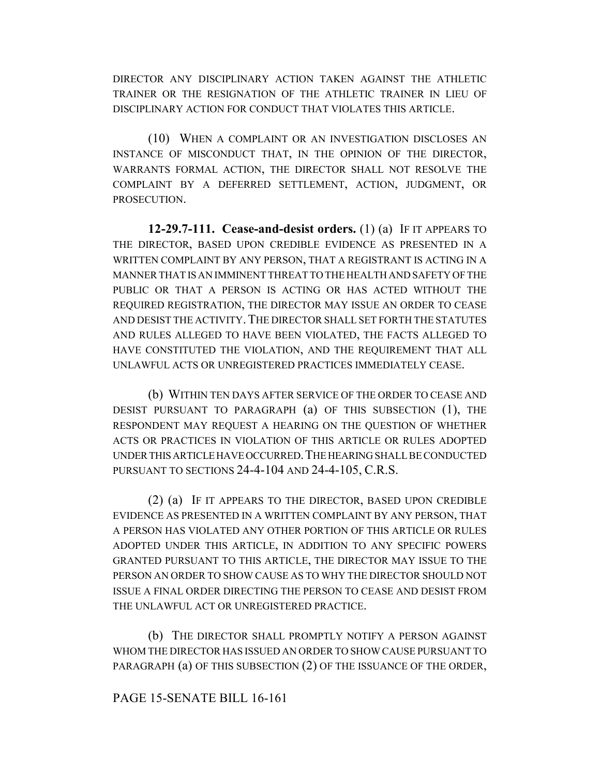DIRECTOR ANY DISCIPLINARY ACTION TAKEN AGAINST THE ATHLETIC TRAINER OR THE RESIGNATION OF THE ATHLETIC TRAINER IN LIEU OF DISCIPLINARY ACTION FOR CONDUCT THAT VIOLATES THIS ARTICLE.

(10) WHEN A COMPLAINT OR AN INVESTIGATION DISCLOSES AN INSTANCE OF MISCONDUCT THAT, IN THE OPINION OF THE DIRECTOR, WARRANTS FORMAL ACTION, THE DIRECTOR SHALL NOT RESOLVE THE COMPLAINT BY A DEFERRED SETTLEMENT, ACTION, JUDGMENT, OR PROSECUTION.

**12-29.7-111. Cease-and-desist orders.** (1) (a) IF IT APPEARS TO THE DIRECTOR, BASED UPON CREDIBLE EVIDENCE AS PRESENTED IN A WRITTEN COMPLAINT BY ANY PERSON, THAT A REGISTRANT IS ACTING IN A MANNER THAT IS AN IMMINENT THREAT TO THE HEALTH AND SAFETY OF THE PUBLIC OR THAT A PERSON IS ACTING OR HAS ACTED WITHOUT THE REQUIRED REGISTRATION, THE DIRECTOR MAY ISSUE AN ORDER TO CEASE AND DESIST THE ACTIVITY. THE DIRECTOR SHALL SET FORTH THE STATUTES AND RULES ALLEGED TO HAVE BEEN VIOLATED, THE FACTS ALLEGED TO HAVE CONSTITUTED THE VIOLATION, AND THE REQUIREMENT THAT ALL UNLAWFUL ACTS OR UNREGISTERED PRACTICES IMMEDIATELY CEASE.

(b) WITHIN TEN DAYS AFTER SERVICE OF THE ORDER TO CEASE AND DESIST PURSUANT TO PARAGRAPH (a) OF THIS SUBSECTION (1), THE RESPONDENT MAY REQUEST A HEARING ON THE QUESTION OF WHETHER ACTS OR PRACTICES IN VIOLATION OF THIS ARTICLE OR RULES ADOPTED UNDER THIS ARTICLE HAVE OCCURRED. THE HEARING SHALL BE CONDUCTED PURSUANT TO SECTIONS 24-4-104 AND 24-4-105, C.R.S.

(2) (a) IF IT APPEARS TO THE DIRECTOR, BASED UPON CREDIBLE EVIDENCE AS PRESENTED IN A WRITTEN COMPLAINT BY ANY PERSON, THAT A PERSON HAS VIOLATED ANY OTHER PORTION OF THIS ARTICLE OR RULES ADOPTED UNDER THIS ARTICLE, IN ADDITION TO ANY SPECIFIC POWERS GRANTED PURSUANT TO THIS ARTICLE, THE DIRECTOR MAY ISSUE TO THE PERSON AN ORDER TO SHOW CAUSE AS TO WHY THE DIRECTOR SHOULD NOT ISSUE A FINAL ORDER DIRECTING THE PERSON TO CEASE AND DESIST FROM THE UNLAWFUL ACT OR UNREGISTERED PRACTICE.

(b) THE DIRECTOR SHALL PROMPTLY NOTIFY A PERSON AGAINST WHOM THE DIRECTOR HAS ISSUED AN ORDER TO SHOW CAUSE PURSUANT TO PARAGRAPH (a) OF THIS SUBSECTION (2) OF THE ISSUANCE OF THE ORDER,

# PAGE 15-SENATE BILL 16-161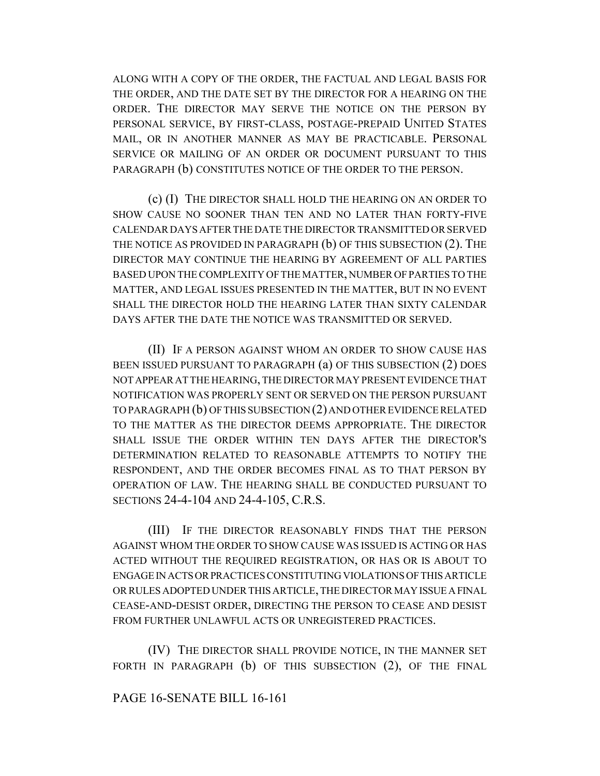ALONG WITH A COPY OF THE ORDER, THE FACTUAL AND LEGAL BASIS FOR THE ORDER, AND THE DATE SET BY THE DIRECTOR FOR A HEARING ON THE ORDER. THE DIRECTOR MAY SERVE THE NOTICE ON THE PERSON BY PERSONAL SERVICE, BY FIRST-CLASS, POSTAGE-PREPAID UNITED STATES MAIL, OR IN ANOTHER MANNER AS MAY BE PRACTICABLE. PERSONAL SERVICE OR MAILING OF AN ORDER OR DOCUMENT PURSUANT TO THIS PARAGRAPH (b) CONSTITUTES NOTICE OF THE ORDER TO THE PERSON.

(c) (I) THE DIRECTOR SHALL HOLD THE HEARING ON AN ORDER TO SHOW CAUSE NO SOONER THAN TEN AND NO LATER THAN FORTY-FIVE CALENDAR DAYS AFTER THE DATE THE DIRECTOR TRANSMITTED OR SERVED THE NOTICE AS PROVIDED IN PARAGRAPH (b) OF THIS SUBSECTION (2). THE DIRECTOR MAY CONTINUE THE HEARING BY AGREEMENT OF ALL PARTIES BASED UPON THE COMPLEXITY OF THE MATTER, NUMBER OF PARTIES TO THE MATTER, AND LEGAL ISSUES PRESENTED IN THE MATTER, BUT IN NO EVENT SHALL THE DIRECTOR HOLD THE HEARING LATER THAN SIXTY CALENDAR DAYS AFTER THE DATE THE NOTICE WAS TRANSMITTED OR SERVED.

(II) IF A PERSON AGAINST WHOM AN ORDER TO SHOW CAUSE HAS BEEN ISSUED PURSUANT TO PARAGRAPH (a) OF THIS SUBSECTION (2) DOES NOT APPEAR AT THE HEARING, THE DIRECTOR MAY PRESENT EVIDENCE THAT NOTIFICATION WAS PROPERLY SENT OR SERVED ON THE PERSON PURSUANT TO PARAGRAPH (b) OF THIS SUBSECTION (2) AND OTHER EVIDENCE RELATED TO THE MATTER AS THE DIRECTOR DEEMS APPROPRIATE. THE DIRECTOR SHALL ISSUE THE ORDER WITHIN TEN DAYS AFTER THE DIRECTOR'S DETERMINATION RELATED TO REASONABLE ATTEMPTS TO NOTIFY THE RESPONDENT, AND THE ORDER BECOMES FINAL AS TO THAT PERSON BY OPERATION OF LAW. THE HEARING SHALL BE CONDUCTED PURSUANT TO SECTIONS 24-4-104 AND 24-4-105, C.R.S.

(III) IF THE DIRECTOR REASONABLY FINDS THAT THE PERSON AGAINST WHOM THE ORDER TO SHOW CAUSE WAS ISSUED IS ACTING OR HAS ACTED WITHOUT THE REQUIRED REGISTRATION, OR HAS OR IS ABOUT TO ENGAGE IN ACTS OR PRACTICES CONSTITUTING VIOLATIONS OF THIS ARTICLE OR RULES ADOPTED UNDER THIS ARTICLE, THE DIRECTOR MAY ISSUE A FINAL CEASE-AND-DESIST ORDER, DIRECTING THE PERSON TO CEASE AND DESIST FROM FURTHER UNLAWFUL ACTS OR UNREGISTERED PRACTICES.

(IV) THE DIRECTOR SHALL PROVIDE NOTICE, IN THE MANNER SET FORTH IN PARAGRAPH (b) OF THIS SUBSECTION (2), OF THE FINAL

#### PAGE 16-SENATE BILL 16-161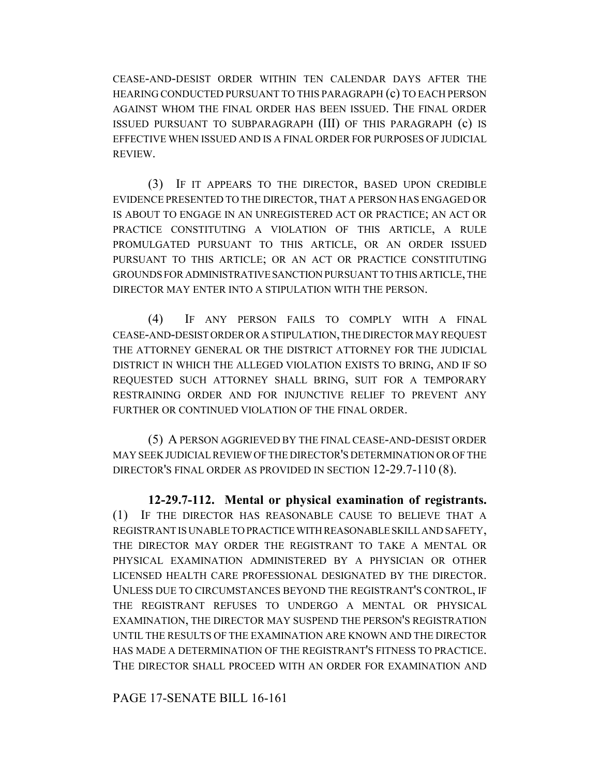CEASE-AND-DESIST ORDER WITHIN TEN CALENDAR DAYS AFTER THE HEARING CONDUCTED PURSUANT TO THIS PARAGRAPH (c) TO EACH PERSON AGAINST WHOM THE FINAL ORDER HAS BEEN ISSUED. THE FINAL ORDER ISSUED PURSUANT TO SUBPARAGRAPH (III) OF THIS PARAGRAPH (c) IS EFFECTIVE WHEN ISSUED AND IS A FINAL ORDER FOR PURPOSES OF JUDICIAL REVIEW.

(3) IF IT APPEARS TO THE DIRECTOR, BASED UPON CREDIBLE EVIDENCE PRESENTED TO THE DIRECTOR, THAT A PERSON HAS ENGAGED OR IS ABOUT TO ENGAGE IN AN UNREGISTERED ACT OR PRACTICE; AN ACT OR PRACTICE CONSTITUTING A VIOLATION OF THIS ARTICLE, A RULE PROMULGATED PURSUANT TO THIS ARTICLE, OR AN ORDER ISSUED PURSUANT TO THIS ARTICLE; OR AN ACT OR PRACTICE CONSTITUTING GROUNDS FOR ADMINISTRATIVE SANCTION PURSUANT TO THIS ARTICLE, THE DIRECTOR MAY ENTER INTO A STIPULATION WITH THE PERSON.

(4) IF ANY PERSON FAILS TO COMPLY WITH A FINAL CEASE-AND-DESIST ORDER OR A STIPULATION, THE DIRECTOR MAY REQUEST THE ATTORNEY GENERAL OR THE DISTRICT ATTORNEY FOR THE JUDICIAL DISTRICT IN WHICH THE ALLEGED VIOLATION EXISTS TO BRING, AND IF SO REQUESTED SUCH ATTORNEY SHALL BRING, SUIT FOR A TEMPORARY RESTRAINING ORDER AND FOR INJUNCTIVE RELIEF TO PREVENT ANY FURTHER OR CONTINUED VIOLATION OF THE FINAL ORDER.

(5) A PERSON AGGRIEVED BY THE FINAL CEASE-AND-DESIST ORDER MAY SEEK JUDICIAL REVIEW OF THE DIRECTOR'S DETERMINATION OR OF THE DIRECTOR'S FINAL ORDER AS PROVIDED IN SECTION 12-29.7-110 (8).

**12-29.7-112. Mental or physical examination of registrants.** (1) IF THE DIRECTOR HAS REASONABLE CAUSE TO BELIEVE THAT A REGISTRANT IS UNABLE TO PRACTICE WITH REASONABLE SKILL AND SAFETY, THE DIRECTOR MAY ORDER THE REGISTRANT TO TAKE A MENTAL OR PHYSICAL EXAMINATION ADMINISTERED BY A PHYSICIAN OR OTHER LICENSED HEALTH CARE PROFESSIONAL DESIGNATED BY THE DIRECTOR. UNLESS DUE TO CIRCUMSTANCES BEYOND THE REGISTRANT'S CONTROL, IF THE REGISTRANT REFUSES TO UNDERGO A MENTAL OR PHYSICAL EXAMINATION, THE DIRECTOR MAY SUSPEND THE PERSON'S REGISTRATION UNTIL THE RESULTS OF THE EXAMINATION ARE KNOWN AND THE DIRECTOR HAS MADE A DETERMINATION OF THE REGISTRANT'S FITNESS TO PRACTICE. THE DIRECTOR SHALL PROCEED WITH AN ORDER FOR EXAMINATION AND

PAGE 17-SENATE BILL 16-161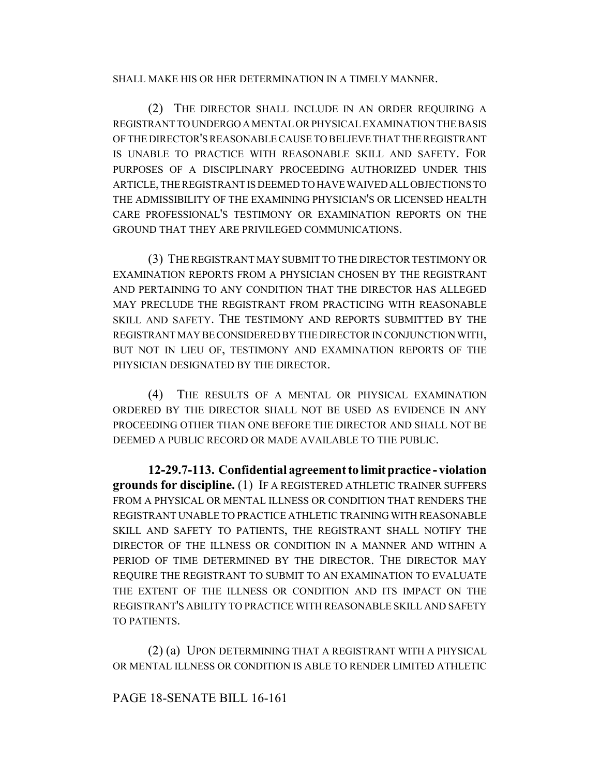#### SHALL MAKE HIS OR HER DETERMINATION IN A TIMELY MANNER.

(2) THE DIRECTOR SHALL INCLUDE IN AN ORDER REQUIRING A REGISTRANT TO UNDERGO A MENTAL OR PHYSICAL EXAMINATION THE BASIS OF THE DIRECTOR'S REASONABLE CAUSE TO BELIEVE THAT THE REGISTRANT IS UNABLE TO PRACTICE WITH REASONABLE SKILL AND SAFETY. FOR PURPOSES OF A DISCIPLINARY PROCEEDING AUTHORIZED UNDER THIS ARTICLE, THE REGISTRANT IS DEEMED TO HAVE WAIVED ALL OBJECTIONS TO THE ADMISSIBILITY OF THE EXAMINING PHYSICIAN'S OR LICENSED HEALTH CARE PROFESSIONAL'S TESTIMONY OR EXAMINATION REPORTS ON THE GROUND THAT THEY ARE PRIVILEGED COMMUNICATIONS.

(3) THE REGISTRANT MAY SUBMIT TO THE DIRECTOR TESTIMONY OR EXAMINATION REPORTS FROM A PHYSICIAN CHOSEN BY THE REGISTRANT AND PERTAINING TO ANY CONDITION THAT THE DIRECTOR HAS ALLEGED MAY PRECLUDE THE REGISTRANT FROM PRACTICING WITH REASONABLE SKILL AND SAFETY. THE TESTIMONY AND REPORTS SUBMITTED BY THE REGISTRANT MAY BE CONSIDERED BY THE DIRECTOR IN CONJUNCTION WITH, BUT NOT IN LIEU OF, TESTIMONY AND EXAMINATION REPORTS OF THE PHYSICIAN DESIGNATED BY THE DIRECTOR.

(4) THE RESULTS OF A MENTAL OR PHYSICAL EXAMINATION ORDERED BY THE DIRECTOR SHALL NOT BE USED AS EVIDENCE IN ANY PROCEEDING OTHER THAN ONE BEFORE THE DIRECTOR AND SHALL NOT BE DEEMED A PUBLIC RECORD OR MADE AVAILABLE TO THE PUBLIC.

**12-29.7-113. Confidential agreement to limit practice - violation grounds for discipline.** (1) IF A REGISTERED ATHLETIC TRAINER SUFFERS FROM A PHYSICAL OR MENTAL ILLNESS OR CONDITION THAT RENDERS THE REGISTRANT UNABLE TO PRACTICE ATHLETIC TRAINING WITH REASONABLE SKILL AND SAFETY TO PATIENTS, THE REGISTRANT SHALL NOTIFY THE DIRECTOR OF THE ILLNESS OR CONDITION IN A MANNER AND WITHIN A PERIOD OF TIME DETERMINED BY THE DIRECTOR. THE DIRECTOR MAY REQUIRE THE REGISTRANT TO SUBMIT TO AN EXAMINATION TO EVALUATE THE EXTENT OF THE ILLNESS OR CONDITION AND ITS IMPACT ON THE REGISTRANT'S ABILITY TO PRACTICE WITH REASONABLE SKILL AND SAFETY TO PATIENTS.

(2) (a) UPON DETERMINING THAT A REGISTRANT WITH A PHYSICAL OR MENTAL ILLNESS OR CONDITION IS ABLE TO RENDER LIMITED ATHLETIC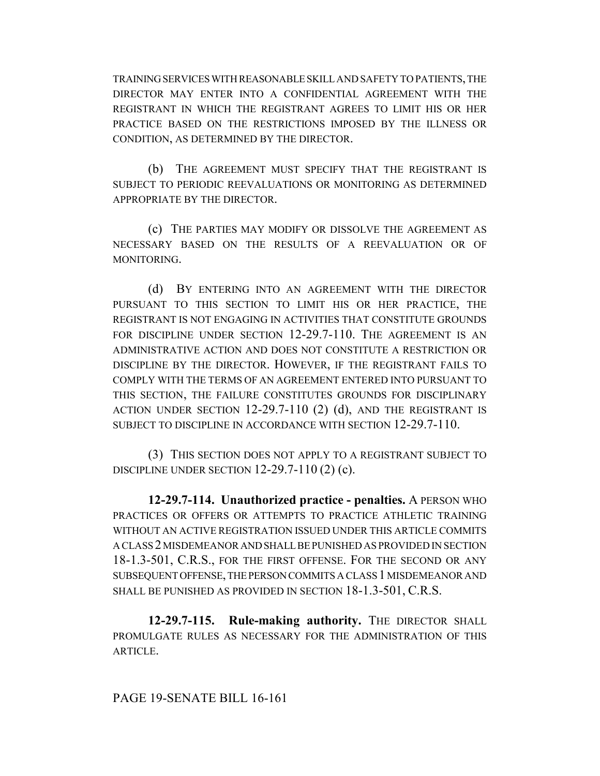TRAINING SERVICES WITH REASONABLE SKILL AND SAFETY TO PATIENTS, THE DIRECTOR MAY ENTER INTO A CONFIDENTIAL AGREEMENT WITH THE REGISTRANT IN WHICH THE REGISTRANT AGREES TO LIMIT HIS OR HER PRACTICE BASED ON THE RESTRICTIONS IMPOSED BY THE ILLNESS OR CONDITION, AS DETERMINED BY THE DIRECTOR.

(b) THE AGREEMENT MUST SPECIFY THAT THE REGISTRANT IS SUBJECT TO PERIODIC REEVALUATIONS OR MONITORING AS DETERMINED APPROPRIATE BY THE DIRECTOR.

(c) THE PARTIES MAY MODIFY OR DISSOLVE THE AGREEMENT AS NECESSARY BASED ON THE RESULTS OF A REEVALUATION OR OF **MONITORING.** 

(d) BY ENTERING INTO AN AGREEMENT WITH THE DIRECTOR PURSUANT TO THIS SECTION TO LIMIT HIS OR HER PRACTICE, THE REGISTRANT IS NOT ENGAGING IN ACTIVITIES THAT CONSTITUTE GROUNDS FOR DISCIPLINE UNDER SECTION 12-29.7-110. THE AGREEMENT IS AN ADMINISTRATIVE ACTION AND DOES NOT CONSTITUTE A RESTRICTION OR DISCIPLINE BY THE DIRECTOR. HOWEVER, IF THE REGISTRANT FAILS TO COMPLY WITH THE TERMS OF AN AGREEMENT ENTERED INTO PURSUANT TO THIS SECTION, THE FAILURE CONSTITUTES GROUNDS FOR DISCIPLINARY ACTION UNDER SECTION 12-29.7-110 (2) (d), AND THE REGISTRANT IS SUBJECT TO DISCIPLINE IN ACCORDANCE WITH SECTION 12-29.7-110.

(3) THIS SECTION DOES NOT APPLY TO A REGISTRANT SUBJECT TO DISCIPLINE UNDER SECTION 12-29.7-110 (2) (c).

**12-29.7-114. Unauthorized practice - penalties.** A PERSON WHO PRACTICES OR OFFERS OR ATTEMPTS TO PRACTICE ATHLETIC TRAINING WITHOUT AN ACTIVE REGISTRATION ISSUED UNDER THIS ARTICLE COMMITS A CLASS 2 MISDEMEANOR AND SHALL BE PUNISHED AS PROVIDED IN SECTION 18-1.3-501, C.R.S., FOR THE FIRST OFFENSE. FOR THE SECOND OR ANY SUBSEQUENT OFFENSE, THE PERSON COMMITS A CLASS 1 MISDEMEANOR AND SHALL BE PUNISHED AS PROVIDED IN SECTION 18-1.3-501, C.R.S.

**12-29.7-115. Rule-making authority.** THE DIRECTOR SHALL PROMULGATE RULES AS NECESSARY FOR THE ADMINISTRATION OF THIS ARTICLE.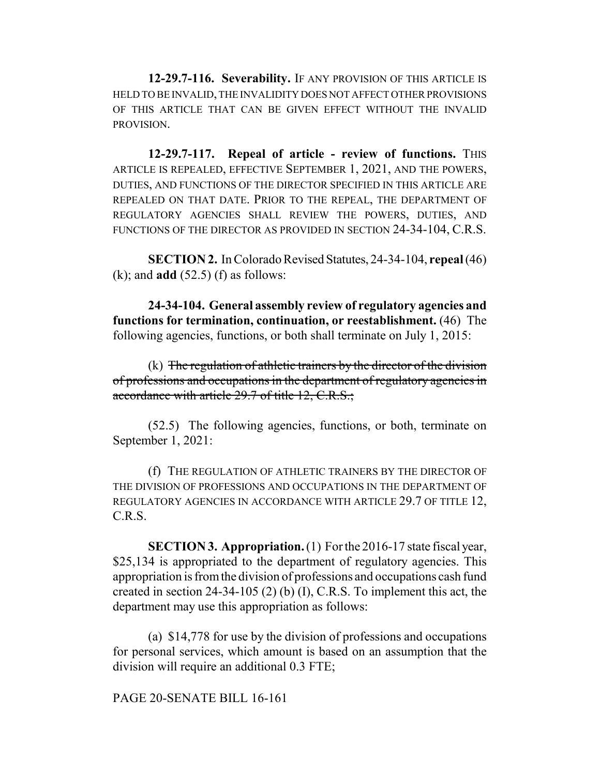**12-29.7-116. Severability.** IF ANY PROVISION OF THIS ARTICLE IS HELD TO BE INVALID, THE INVALIDITY DOES NOT AFFECT OTHER PROVISIONS OF THIS ARTICLE THAT CAN BE GIVEN EFFECT WITHOUT THE INVALID PROVISION.

**12-29.7-117. Repeal of article - review of functions.** THIS ARTICLE IS REPEALED, EFFECTIVE SEPTEMBER 1, 2021, AND THE POWERS, DUTIES, AND FUNCTIONS OF THE DIRECTOR SPECIFIED IN THIS ARTICLE ARE REPEALED ON THAT DATE. PRIOR TO THE REPEAL, THE DEPARTMENT OF REGULATORY AGENCIES SHALL REVIEW THE POWERS, DUTIES, AND FUNCTIONS OF THE DIRECTOR AS PROVIDED IN SECTION 24-34-104, C.R.S.

**SECTION 2.** In Colorado Revised Statutes, 24-34-104, **repeal** (46) (k); and **add** (52.5) (f) as follows:

**24-34-104. General assembly review of regulatory agencies and functions for termination, continuation, or reestablishment.** (46) The following agencies, functions, or both shall terminate on July 1, 2015:

 $(k)$  The regulation of athletic trainers by the director of the division of professions and occupations in the department of regulatory agencies in accordance with article 29.7 of title 12, C.R.S.;

(52.5) The following agencies, functions, or both, terminate on September 1, 2021:

(f) THE REGULATION OF ATHLETIC TRAINERS BY THE DIRECTOR OF THE DIVISION OF PROFESSIONS AND OCCUPATIONS IN THE DEPARTMENT OF REGULATORY AGENCIES IN ACCORDANCE WITH ARTICLE 29.7 OF TITLE 12, C.R.S.

**SECTION 3. Appropriation.** (1) For the 2016-17 state fiscal year, \$25,134 is appropriated to the department of regulatory agencies. This appropriation is from the division of professions and occupations cash fund created in section 24-34-105 (2) (b) (I), C.R.S. To implement this act, the department may use this appropriation as follows:

(a) \$14,778 for use by the division of professions and occupations for personal services, which amount is based on an assumption that the division will require an additional 0.3 FTE;

PAGE 20-SENATE BILL 16-161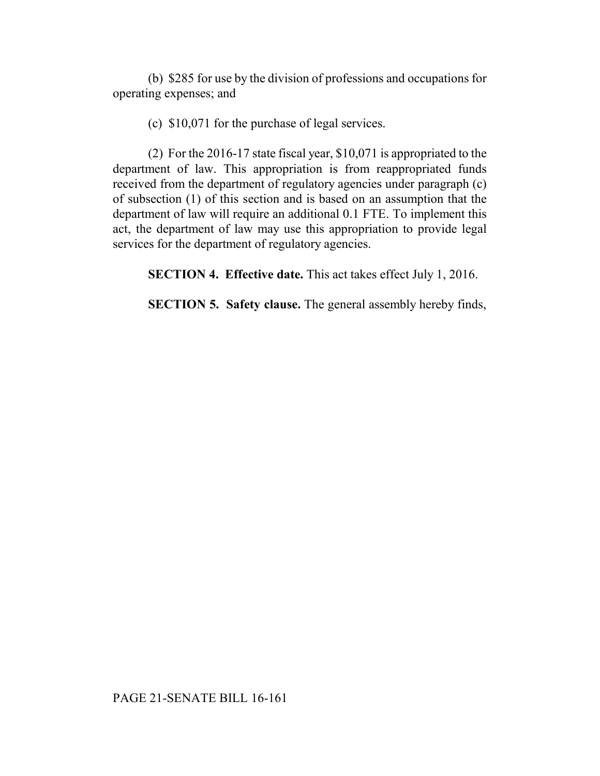(b) \$285 for use by the division of professions and occupations for operating expenses; and

(c) \$10,071 for the purchase of legal services.

(2) For the 2016-17 state fiscal year, \$10,071 is appropriated to the department of law. This appropriation is from reappropriated funds received from the department of regulatory agencies under paragraph (c) of subsection (1) of this section and is based on an assumption that the department of law will require an additional 0.1 FTE. To implement this act, the department of law may use this appropriation to provide legal services for the department of regulatory agencies.

**SECTION 4. Effective date.** This act takes effect July 1, 2016.

**SECTION 5. Safety clause.** The general assembly hereby finds,